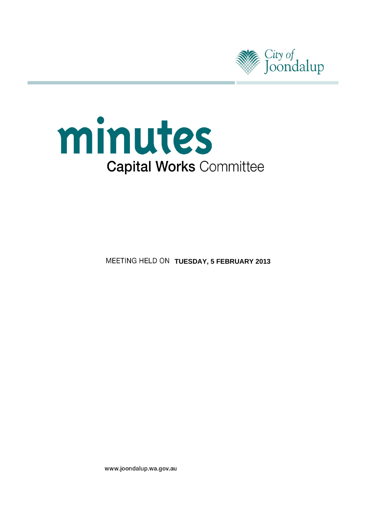



**MEETING HELD ON TUESDAY, 5 FEBRUARY 2013** 

www.joondalup.wa.gov.au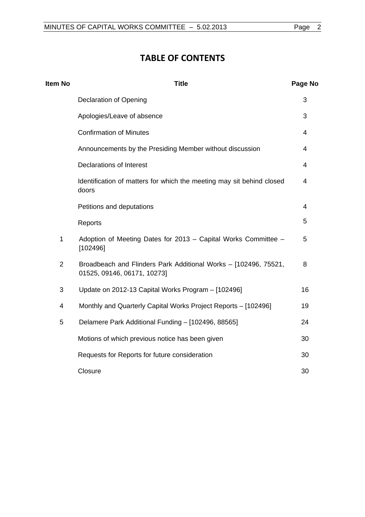# **TABLE OF CONTENTS**

| <b>Item No</b> | <b>Title</b>                                                                                   | Page No        |
|----------------|------------------------------------------------------------------------------------------------|----------------|
|                | <b>Declaration of Opening</b>                                                                  | 3              |
|                | Apologies/Leave of absence                                                                     | 3              |
|                | <b>Confirmation of Minutes</b>                                                                 | 4              |
|                | Announcements by the Presiding Member without discussion                                       | 4              |
|                | <b>Declarations of Interest</b>                                                                | 4              |
|                | Identification of matters for which the meeting may sit behind closed<br>doors                 | 4              |
|                | Petitions and deputations                                                                      | $\overline{4}$ |
|                | Reports                                                                                        | 5              |
| $\mathbf{1}$   | Adoption of Meeting Dates for 2013 - Capital Works Committee -<br>[102496]                     | 5              |
| 2              | Broadbeach and Flinders Park Additional Works - [102496, 75521,<br>01525, 09146, 06171, 10273] | 8              |
| 3              | Update on 2012-13 Capital Works Program - [102496]                                             | 16             |
| 4              | Monthly and Quarterly Capital Works Project Reports - [102496]                                 | 19             |
| 5              | Delamere Park Additional Funding - [102496, 88565]                                             | 24             |
|                | Motions of which previous notice has been given                                                | 30             |
|                | Requests for Reports for future consideration                                                  | 30             |
|                | Closure                                                                                        | 30             |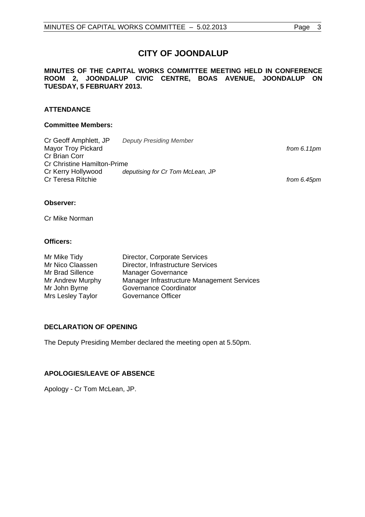# **CITY OF JOONDALUP**

# <span id="page-2-0"></span>**MINUTES OF THE CAPITAL WORKS COMMITTEE MEETING HELD IN CONFERENCE ROOM 2, JOONDALUP CIVIC CENTRE, BOAS AVENUE, JOONDALUP ON TUESDAY, 5 FEBRUARY 2013.**

# **ATTENDANCE**

# **Committee Members:**

| Cr Geoff Amphlett, JP              | <b>Deputy Presiding Member</b>   |               |
|------------------------------------|----------------------------------|---------------|
| <b>Mayor Troy Pickard</b>          |                                  | from $6.11pm$ |
| Cr Brian Corr                      |                                  |               |
| <b>Cr Christine Hamilton-Prime</b> |                                  |               |
| Cr Kerry Hollywood                 | deputising for Cr Tom McLean, JP |               |
| Cr Teresa Ritchie                  |                                  | from 6.45pm   |

# **Observer:**

Cr Mike Norman

# **Officers:**

| Mr Mike Tidy      | Director, Corporate Services               |
|-------------------|--------------------------------------------|
| Mr Nico Claassen  | Director, Infrastructure Services          |
| Mr Brad Sillence  | <b>Manager Governance</b>                  |
| Mr Andrew Murphy  | Manager Infrastructure Management Services |
| Mr John Byrne     | <b>Governance Coordinator</b>              |
| Mrs Lesley Taylor | Governance Officer                         |

# **DECLARATION OF OPENING**

The Deputy Presiding Member declared the meeting open at 5.50pm.

# **APOLOGIES/LEAVE OF ABSENCE**

Apology - Cr Tom McLean, JP.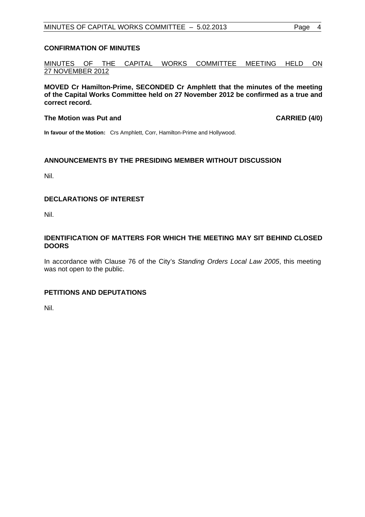# <span id="page-3-0"></span>**CONFIRMATION OF MINUTES**

MINUTES OF THE CAPITAL WORKS COMMITTEE MEETING HELD ON 27 NOVEMBER 2012

**MOVED Cr Hamilton-Prime, SECONDED Cr Amphlett that the minutes of the meeting of the Capital Works Committee held on 27 November 2012 be confirmed as a true and correct record.** 

# The Motion was Put and **CARRIED** (4/0)

**In favour of the Motion:** Crs Amphlett, Corr, Hamilton-Prime and Hollywood.

# **ANNOUNCEMENTS BY THE PRESIDING MEMBER WITHOUT DISCUSSION**

Nil.

# **DECLARATIONS OF INTEREST**

Nil.

# **IDENTIFICATION OF MATTERS FOR WHICH THE MEETING MAY SIT BEHIND CLOSED DOORS**

In accordance with Clause 76 of the City's *Standing Orders Local Law 2005*, this meeting was not open to the public.

# **PETITIONS AND DEPUTATIONS**

Nil.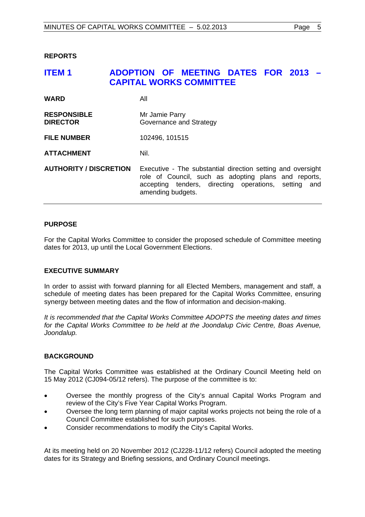# <span id="page-4-0"></span>**REPORTS**

# **ITEM 1 ADOPTION OF MEETING DATES FOR 2013 – CAPITAL WORKS COMMITTEE**

| <b>WARD</b>                           | All                                                                                                                                                                                              |
|---------------------------------------|--------------------------------------------------------------------------------------------------------------------------------------------------------------------------------------------------|
| <b>RESPONSIBLE</b><br><b>DIRECTOR</b> | Mr Jamie Parry<br>Governance and Strategy                                                                                                                                                        |
| <b>FILE NUMBER</b>                    | 102496, 101515                                                                                                                                                                                   |
| <b>ATTACHMENT</b>                     | Nil.                                                                                                                                                                                             |
| <b>AUTHORITY / DISCRETION</b>         | Executive - The substantial direction setting and oversight<br>role of Council, such as adopting plans and reports,<br>accepting tenders, directing operations, setting and<br>amending budgets. |

# **PURPOSE**

For the Capital Works Committee to consider the proposed schedule of Committee meeting dates for 2013, up until the Local Government Elections.

#### **EXECUTIVE SUMMARY**

In order to assist with forward planning for all Elected Members, management and staff, a schedule of meeting dates has been prepared for the Capital Works Committee, ensuring synergy between meeting dates and the flow of information and decision-making.

*It is recommended that the Capital Works Committee ADOPTS the meeting dates and times for the Capital Works Committee to be held at the Joondalup Civic Centre, Boas Avenue, Joondalup.* 

# **BACKGROUND**

The Capital Works Committee was established at the Ordinary Council Meeting held on 15 May 2012 (CJ094-05/12 refers). The purpose of the committee is to:

- Oversee the monthly progress of the City's annual Capital Works Program and review of the City's Five Year Capital Works Program.
- Oversee the long term planning of major capital works projects not being the role of a Council Committee established for such purposes.
- Consider recommendations to modify the City's Capital Works.

At its meeting held on 20 November 2012 (CJ228-11/12 refers) Council adopted the meeting dates for its Strategy and Briefing sessions, and Ordinary Council meetings.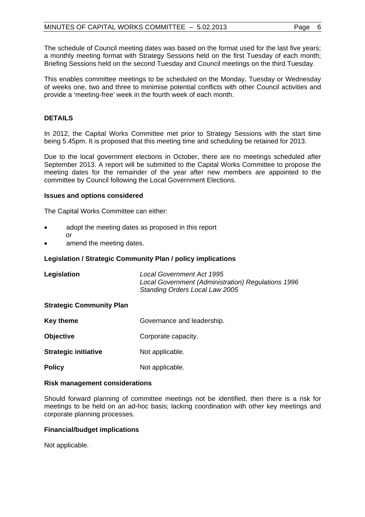The schedule of Council meeting dates was based on the format used for the last five years; a monthly meeting format with Strategy Sessions held on the first Tuesday of each month; Briefing Sessions held on the second Tuesday and Council meetings on the third Tuesday.

This enables committee meetings to be scheduled on the Monday, Tuesday or Wednesday of weeks one, two and three to minimise potential conflicts with other Council activities and provide a 'meeting-free' week in the fourth week of each month.

# **DETAILS**

In 2012, the Capital Works Committee met prior to Strategy Sessions with the start time being 5.45pm. It is proposed that this meeting time and scheduling be retained for 2013.

Due to the local government elections in October, there are no meetings scheduled after September 2013. A report will be submitted to the Capital Works Committee to propose the meeting dates for the remainder of the year after new members are appointed to the committee by Council following the Local Government Elections.

#### **Issues and options considered**

The Capital Works Committee can either:

- adopt the meeting dates as proposed in this report or
- amend the meeting dates.

#### **Legislation / Strategic Community Plan / policy implications**

| Legislation                     | <b>Local Government Act 1995</b><br>Local Government (Administration) Regulations 1996<br>Standing Orders Local Law 2005 |
|---------------------------------|--------------------------------------------------------------------------------------------------------------------------|
| <b>Strategic Community Plan</b> |                                                                                                                          |
| Key theme                       | Governance and leadership.                                                                                               |

- **Objective Corporate capacity.**
- **Strategic initiative Mot applicable.**
- **Policy** Not applicable.

#### **Risk management considerations**

Should forward planning of committee meetings not be identified, then there is a risk for meetings to be held on an ad-hoc basis; lacking coordination with other key meetings and corporate planning processes.

#### **Financial/budget implications**

Not applicable.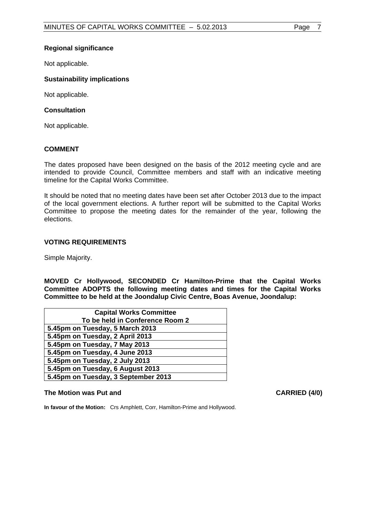# **Regional significance**

Not applicable.

# **Sustainability implications**

Not applicable.

# **Consultation**

Not applicable.

# **COMMENT**

The dates proposed have been designed on the basis of the 2012 meeting cycle and are intended to provide Council, Committee members and staff with an indicative meeting timeline for the Capital Works Committee.

It should be noted that no meeting dates have been set after October 2013 due to the impact of the local government elections. A further report will be submitted to the Capital Works Committee to propose the meeting dates for the remainder of the year, following the elections.

# **VOTING REQUIREMENTS**

Simple Majority.

**MOVED Cr Hollywood, SECONDED Cr Hamilton-Prime that the Capital Works Committee ADOPTS the following meeting dates and times for the Capital Works Committee to be held at the Joondalup Civic Centre, Boas Avenue, Joondalup:** 

| <b>Capital Works Committee</b>      |
|-------------------------------------|
| To be held in Conference Room 2     |
| 5.45pm on Tuesday, 5 March 2013     |
| 5.45pm on Tuesday, 2 April 2013     |
| 5.45pm on Tuesday, 7 May 2013       |
| 5.45pm on Tuesday, 4 June 2013      |
| 5.45pm on Tuesday, 2 July 2013      |
| 5.45pm on Tuesday, 6 August 2013    |
| 5.45pm on Tuesday, 3 September 2013 |

## The Motion was Put and **CARRIED** (4/0)

**In favour of the Motion:** Crs Amphlett, Corr, Hamilton-Prime and Hollywood.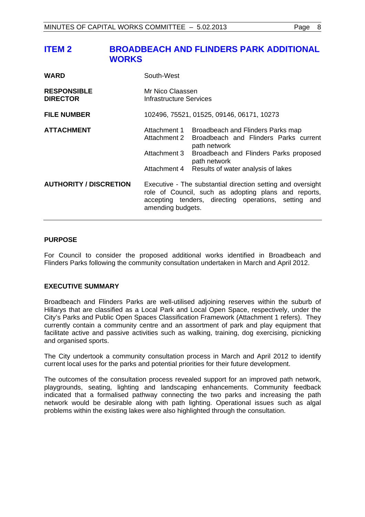# <span id="page-7-0"></span>**ITEM 2 BROADBEACH AND FLINDERS PARK ADDITIONAL WORKS**

| <b>WARD</b>                           | South-West                                                   |                                                                                                                                                                                            |
|---------------------------------------|--------------------------------------------------------------|--------------------------------------------------------------------------------------------------------------------------------------------------------------------------------------------|
| <b>RESPONSIBLE</b><br><b>DIRECTOR</b> | Mr Nico Claassen<br>Infrastructure Services                  |                                                                                                                                                                                            |
| <b>FILE NUMBER</b>                    |                                                              | 102496, 75521, 01525, 09146, 06171, 10273                                                                                                                                                  |
| <b>ATTACHMENT</b>                     | Attachment 1<br>Attachment 2<br>Attachment 3<br>Attachment 4 | Broadbeach and Flinders Parks map<br>Broadbeach and Flinders Parks current<br>path network<br>Broadbeach and Flinders Parks proposed<br>path network<br>Results of water analysis of lakes |
| <b>AUTHORITY / DISCRETION</b>         | amending budgets.                                            | Executive - The substantial direction setting and oversight<br>role of Council, such as adopting plans and reports,<br>accepting tenders, directing operations, setting and                |

# **PURPOSE**

For Council to consider the proposed additional works identified in Broadbeach and Flinders Parks following the community consultation undertaken in March and April 2012.

# **EXECUTIVE SUMMARY**

Broadbeach and Flinders Parks are well-utilised adjoining reserves within the suburb of Hillarys that are classified as a Local Park and Local Open Space, respectively, under the City's Parks and Public Open Spaces Classification Framework (Attachment 1 refers). They currently contain a community centre and an assortment of park and play equipment that facilitate active and passive activities such as walking, training, dog exercising, picnicking and organised sports.

The City undertook a community consultation process in March and April 2012 to identify current local uses for the parks and potential priorities for their future development.

The outcomes of the consultation process revealed support for an improved path network, playgrounds, seating, lighting and landscaping enhancements. Community feedback indicated that a formalised pathway connecting the two parks and increasing the path network would be desirable along with path lighting. Operational issues such as algal problems within the existing lakes were also highlighted through the consultation.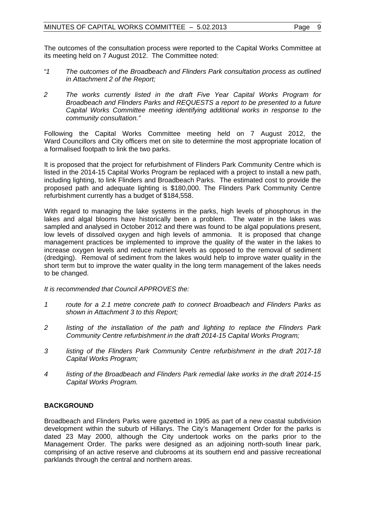The outcomes of the consultation process were reported to the Capital Works Committee at its meeting held on 7 August 2012. The Committee noted:

- *"1 The outcomes of the Broadbeach and Flinders Park consultation process as outlined in Attachment 2 of the Report;*
- *2 The works currently listed in the draft Five Year Capital Works Program for Broadbeach and Flinders Parks and REQUESTS a report to be presented to a future Capital Works Committee meeting identifying additional works in response to the community consultation."*

Following the Capital Works Committee meeting held on 7 August 2012, the Ward Councillors and City officers met on site to determine the most appropriate location of a formalised footpath to link the two parks.

It is proposed that the project for refurbishment of Flinders Park Community Centre which is listed in the 2014-15 Capital Works Program be replaced with a project to install a new path, including lighting, to link Flinders and Broadbeach Parks. The estimated cost to provide the proposed path and adequate lighting is \$180,000. The Flinders Park Community Centre refurbishment currently has a budget of \$184,558.

With regard to managing the lake systems in the parks, high levels of phosphorus in the lakes and algal blooms have historically been a problem. The water in the lakes was sampled and analysed in October 2012 and there was found to be algal populations present, low levels of dissolved oxygen and high levels of ammonia. It is proposed that change management practices be implemented to improve the quality of the water in the lakes to increase oxygen levels and reduce nutrient levels as opposed to the removal of sediment (dredging). Removal of sediment from the lakes would help to improve water quality in the short term but to improve the water quality in the long term management of the lakes needs to be changed.

*It is recommended that Council APPROVES the:* 

- *1 route for a 2.1 metre concrete path to connect Broadbeach and Flinders Parks as shown in Attachment 3 to this Report;*
- *2 listing of the installation of the path and lighting to replace the Flinders Park Community Centre refurbishment in the draft 2014-15 Capital Works Program;*
- *3 listing of the Flinders Park Community Centre refurbishment in the draft 2017-18 Capital Works Program;*
- *4 listing of the Broadbeach and Flinders Park remedial lake works in the draft 2014-15 Capital Works Program.*

# **BACKGROUND**

Broadbeach and Flinders Parks were gazetted in 1995 as part of a new coastal subdivision development within the suburb of Hillarys. The City's Management Order for the parks is dated 23 May 2000, although the City undertook works on the parks prior to the Management Order. The parks were designed as an adjoining north-south linear park, comprising of an active reserve and clubrooms at its southern end and passive recreational parklands through the central and northern areas.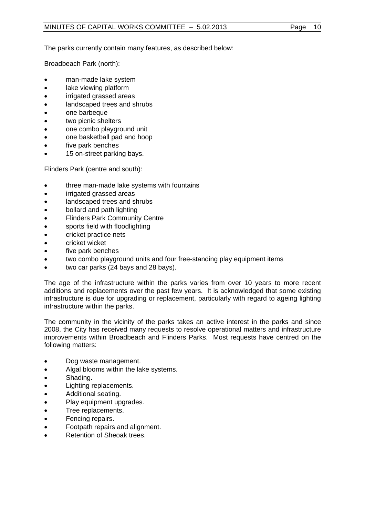The parks currently contain many features, as described below:

Broadbeach Park (north):

- man-made lake system
- lake viewing platform
- irrigated grassed areas
- landscaped trees and shrubs
- one barbeque
- two picnic shelters
- one combo playground unit
- one basketball pad and hoop
- five park benches
- 15 on-street parking bays.

Flinders Park (centre and south):

- three man-made lake systems with fountains
- irrigated grassed areas
- landscaped trees and shrubs
- bollard and path lighting
- Flinders Park Community Centre
- sports field with floodlighting
- cricket practice nets
- cricket wicket
- five park benches
- two combo playground units and four free-standing play equipment items
- two car parks (24 bays and 28 bays).

The age of the infrastructure within the parks varies from over 10 years to more recent additions and replacements over the past few years. It is acknowledged that some existing infrastructure is due for upgrading or replacement, particularly with regard to ageing lighting infrastructure within the parks.

The community in the vicinity of the parks takes an active interest in the parks and since 2008, the City has received many requests to resolve operational matters and infrastructure improvements within Broadbeach and Flinders Parks. Most requests have centred on the following matters:

- Dog waste management.
- Algal blooms within the lake systems.
- Shading.
- Lighting replacements.
- Additional seating.
- Play equipment upgrades.
- Tree replacements.
- Fencing repairs.
- Footpath repairs and alignment.
- Retention of Sheoak trees.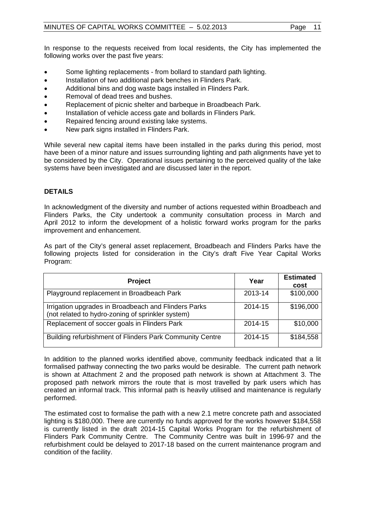In response to the requests received from local residents, the City has implemented the following works over the past five years:

- Some lighting replacements from bollard to standard path lighting.
- Installation of two additional park benches in Flinders Park.
- Additional bins and dog waste bags installed in Flinders Park.
- Removal of dead trees and bushes.
- Replacement of picnic shelter and barbeque in Broadbeach Park.
- Installation of vehicle access gate and bollards in Flinders Park.
- Repaired fencing around existing lake systems.
- New park signs installed in Flinders Park.

While several new capital items have been installed in the parks during this period, most have been of a minor nature and issues surrounding lighting and path alignments have yet to be considered by the City. Operational issues pertaining to the perceived quality of the lake systems have been investigated and are discussed later in the report.

# **DETAILS**

In acknowledgment of the diversity and number of actions requested within Broadbeach and Flinders Parks, the City undertook a community consultation process in March and April 2012 to inform the development of a holistic forward works program for the parks improvement and enhancement.

As part of the City's general asset replacement, Broadbeach and Flinders Parks have the following projects listed for consideration in the City's draft Five Year Capital Works Program:

| <b>Project</b>                                                                                            | Year    | <b>Estimated</b><br>cost |
|-----------------------------------------------------------------------------------------------------------|---------|--------------------------|
| Playground replacement in Broadbeach Park                                                                 | 2013-14 | \$100,000                |
| Irrigation upgrades in Broadbeach and Flinders Parks<br>(not related to hydro-zoning of sprinkler system) | 2014-15 | \$196,000                |
| Replacement of soccer goals in Flinders Park                                                              | 2014-15 | \$10,000                 |
| Building refurbishment of Flinders Park Community Centre                                                  | 2014-15 | \$184,558                |

In addition to the planned works identified above, community feedback indicated that a lit formalised pathway connecting the two parks would be desirable. The current path network is shown at Attachment 2 and the proposed path network is shown at Attachment 3. The proposed path network mirrors the route that is most travelled by park users which has created an informal track. This informal path is heavily utilised and maintenance is regularly performed.

The estimated cost to formalise the path with a new 2.1 metre concrete path and associated lighting is \$180,000. There are currently no funds approved for the works however \$184,558 is currently listed in the draft 2014-15 Capital Works Program for the refurbishment of Flinders Park Community Centre. The Community Centre was built in 1996-97 and the refurbishment could be delayed to 2017-18 based on the current maintenance program and condition of the facility.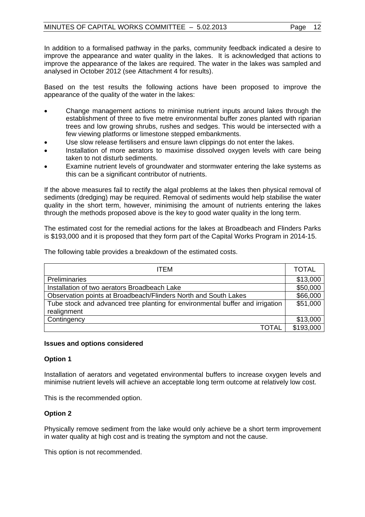In addition to a formalised pathway in the parks, community feedback indicated a desire to improve the appearance and water quality in the lakes. It is acknowledged that actions to improve the appearance of the lakes are required. The water in the lakes was sampled and analysed in October 2012 (see Attachment 4 for results).

Based on the test results the following actions have been proposed to improve the appearance of the quality of the water in the lakes:

- Change management actions to minimise nutrient inputs around lakes through the establishment of three to five metre environmental buffer zones planted with riparian trees and low growing shrubs, rushes and sedges. This would be intersected with a few viewing platforms or limestone stepped embankments.
- Use slow release fertilisers and ensure lawn clippings do not enter the lakes.
- Installation of more aerators to maximise dissolved oxygen levels with care being taken to not disturb sediments.
- Examine nutrient levels of groundwater and stormwater entering the lake systems as this can be a significant contributor of nutrients.

If the above measures fail to rectify the algal problems at the lakes then physical removal of sediments (dredging) may be required. Removal of sediments would help stabilise the water quality in the short term, however, minimising the amount of nutrients entering the lakes through the methods proposed above is the key to good water quality in the long term.

The estimated cost for the remedial actions for the lakes at Broadbeach and Flinders Parks is \$193,000 and it is proposed that they form part of the Capital Works Program in 2014-15.

The following table provides a breakdown of the estimated costs.

| <b>ITEM</b>                                                                                  | <b>TOTAL</b> |
|----------------------------------------------------------------------------------------------|--------------|
| <b>Preliminaries</b>                                                                         | \$13,000     |
| Installation of two aerators Broadbeach Lake                                                 | \$50,000     |
| Observation points at Broadbeach/Flinders North and South Lakes                              | \$66,000     |
| Tube stock and advanced tree planting for environmental buffer and irrigation<br>realignment | \$51,000     |
| Contingency                                                                                  | \$13,000     |
| TOTAL                                                                                        | \$193,000    |

#### **Issues and options considered**

# **Option 1**

Installation of aerators and vegetated environmental buffers to increase oxygen levels and minimise nutrient levels will achieve an acceptable long term outcome at relatively low cost.

This is the recommended option.

# **Option 2**

Physically remove sediment from the lake would only achieve be a short term improvement in water quality at high cost and is treating the symptom and not the cause.

This option is not recommended.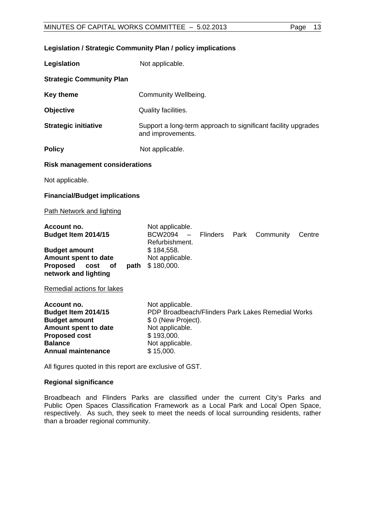**Legislation / Strategic Community Plan / policy implications** 

|  | VIIIIEE - 5.UZ.ZUT3 |  |
|--|---------------------|--|
|  |                     |  |
|  |                     |  |

| Legislation                                                                                                                                               | Not applicable.                                                                                                                                              |
|-----------------------------------------------------------------------------------------------------------------------------------------------------------|--------------------------------------------------------------------------------------------------------------------------------------------------------------|
| <b>Strategic Community Plan</b>                                                                                                                           |                                                                                                                                                              |
| <b>Key theme</b>                                                                                                                                          | Community Wellbeing.                                                                                                                                         |
| <b>Objective</b>                                                                                                                                          | Quality facilities.                                                                                                                                          |
| <b>Strategic initiative</b>                                                                                                                               | Support a long-term approach to significant facility upgrades<br>and improvements.                                                                           |
| <b>Policy</b>                                                                                                                                             | Not applicable.                                                                                                                                              |
| <b>Risk management considerations</b>                                                                                                                     |                                                                                                                                                              |
| Not applicable.                                                                                                                                           |                                                                                                                                                              |
| <b>Financial/Budget implications</b>                                                                                                                      |                                                                                                                                                              |
| <b>Path Network and lighting</b>                                                                                                                          |                                                                                                                                                              |
| Account no.<br>Budget Item 2014/15                                                                                                                        | Not applicable.<br><b>BCW2094</b><br><b>Flinders</b><br>Park<br>Community<br>Centre<br>$\overline{\phantom{0}}$<br>Refurbishment.                            |
| <b>Budget amount</b><br>Amount spent to date<br><b>Proposed</b><br>cost<br>path<br>οf<br>network and lighting                                             | \$184,558.<br>Not applicable.<br>\$180,000.                                                                                                                  |
| Remedial actions for lakes                                                                                                                                |                                                                                                                                                              |
| Account no.<br>Budget Item 2014/15<br><b>Budget amount</b><br>Amount spent to date<br><b>Proposed cost</b><br><b>Balance</b><br><b>Annual maintenance</b> | Not applicable.<br>PDP Broadbeach/Flinders Park Lakes Remedial Works<br>\$ 0 (New Project).<br>Not applicable.<br>\$193,000.<br>Not applicable.<br>\$15,000. |

All figures quoted in this report are exclusive of GST.

# **Regional significance**

Broadbeach and Flinders Parks are classified under the current City's Parks and Public Open Spaces Classification Framework as a Local Park and Local Open Space, respectively. As such, they seek to meet the needs of local surrounding residents, rather than a broader regional community.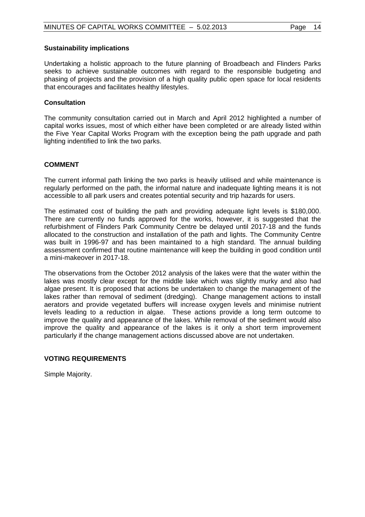#### **Sustainability implications**

Undertaking a holistic approach to the future planning of Broadbeach and Flinders Parks seeks to achieve sustainable outcomes with regard to the responsible budgeting and phasing of projects and the provision of a high quality public open space for local residents that encourages and facilitates healthy lifestyles.

# **Consultation**

The community consultation carried out in March and April 2012 highlighted a number of capital works issues, most of which either have been completed or are already listed within the Five Year Capital Works Program with the exception being the path upgrade and path lighting indentified to link the two parks.

# **COMMENT**

The current informal path linking the two parks is heavily utilised and while maintenance is regularly performed on the path, the informal nature and inadequate lighting means it is not accessible to all park users and creates potential security and trip hazards for users.

The estimated cost of building the path and providing adequate light levels is \$180,000. There are currently no funds approved for the works, however, it is suggested that the refurbishment of Flinders Park Community Centre be delayed until 2017-18 and the funds allocated to the construction and installation of the path and lights. The Community Centre was built in 1996-97 and has been maintained to a high standard. The annual building assessment confirmed that routine maintenance will keep the building in good condition until a mini-makeover in 2017-18.

The observations from the October 2012 analysis of the lakes were that the water within the lakes was mostly clear except for the middle lake which was slightly murky and also had algae present. It is proposed that actions be undertaken to change the management of the lakes rather than removal of sediment (dredging). Change management actions to install aerators and provide vegetated buffers will increase oxygen levels and minimise nutrient levels leading to a reduction in algae. These actions provide a long term outcome to improve the quality and appearance of the lakes. While removal of the sediment would also improve the quality and appearance of the lakes is it only a short term improvement particularly if the change management actions discussed above are not undertaken.

# **VOTING REQUIREMENTS**

Simple Majority.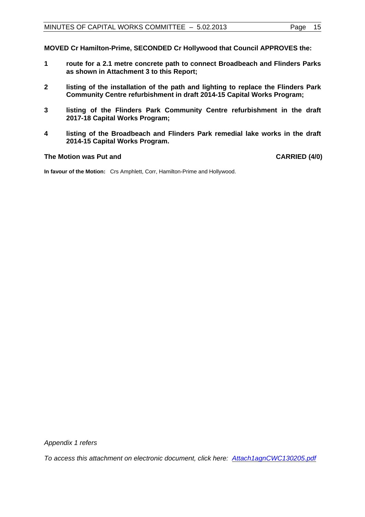**MOVED Cr Hamilton-Prime, SECONDED Cr Hollywood that Council APPROVES the:** 

- **1 route for a 2.1 metre concrete path to connect Broadbeach and Flinders Parks as shown in Attachment 3 to this Report;**
- **2 listing of the installation of the path and lighting to replace the Flinders Park Community Centre refurbishment in draft 2014-15 Capital Works Program;**
- **3 listing of the Flinders Park Community Centre refurbishment in the draft 2017-18 Capital Works Program;**
- **4 listing of the Broadbeach and Flinders Park remedial lake works in the draft 2014-15 Capital Works Program.**

#### The Motion was Put and **CARRIED** (4/0)

**In favour of the Motion:** Crs Amphlett, Corr, Hamilton-Prime and Hollywood.

*Appendix 1 refers* 

*To access this attachment on electronic document, click her[e: Attach1agnCWC130205.pdf](Attach1agnCWC130205.pdf)*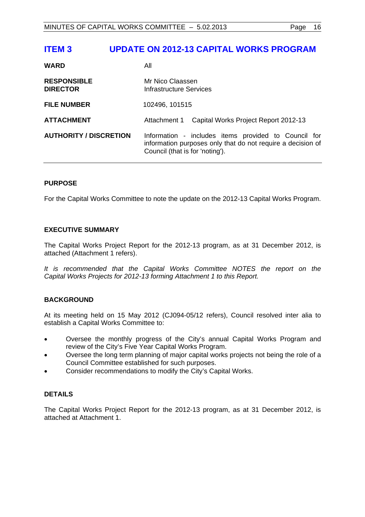# <span id="page-15-0"></span>**ITEM 3 UPDATE ON 2012-13 CAPITAL WORKS PROGRAM**

| <b>WARD</b>                           | All                                                                                                                                                    |  |
|---------------------------------------|--------------------------------------------------------------------------------------------------------------------------------------------------------|--|
| <b>RESPONSIBLE</b><br><b>DIRECTOR</b> | Mr Nico Claassen<br>Infrastructure Services                                                                                                            |  |
| <b>FILE NUMBER</b>                    | 102496, 101515                                                                                                                                         |  |
| <b>ATTACHMENT</b>                     | Capital Works Project Report 2012-13<br>Attachment 1                                                                                                   |  |
| <b>AUTHORITY / DISCRETION</b>         | Information - includes items provided to Council for<br>information purposes only that do not require a decision of<br>Council (that is for 'noting'). |  |

# **PURPOSE**

For the Capital Works Committee to note the update on the 2012-13 Capital Works Program.

# **EXECUTIVE SUMMARY**

The Capital Works Project Report for the 2012-13 program, as at 31 December 2012, is attached (Attachment 1 refers).

It is recommended that the Capital Works Committee NOTES the report on the *Capital Works Projects for 2012-13 forming Attachment 1 to this Report.* 

# **BACKGROUND**

At its meeting held on 15 May 2012 (CJ094-05/12 refers), Council resolved inter alia to establish a Capital Works Committee to:

- Oversee the monthly progress of the City's annual Capital Works Program and review of the City's Five Year Capital Works Program.
- Oversee the long term planning of major capital works projects not being the role of a Council Committee established for such purposes.
- Consider recommendations to modify the City's Capital Works.

# **DETAILS**

The Capital Works Project Report for the 2012-13 program, as at 31 December 2012, is attached at Attachment 1.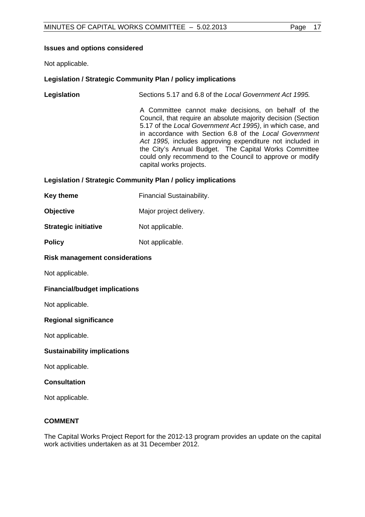# **Issues and options considered**

Not applicable.

# **Legislation / Strategic Community Plan / policy implications**

**Legislation** Sections 5.17 and 6.8 of the *Local Government Act 1995.* 

A Committee cannot make decisions, on behalf of the Council, that require an absolute majority decision (Section 5.17 of the *Local Government Act 1995)*, in which case, and in accordance with Section 6.8 of the *Local Government Act 1995,* includes approving expenditure not included in the City's Annual Budget. The Capital Works Committee could only recommend to the Council to approve or modify capital works projects.

# **Legislation / Strategic Community Plan / policy implications**

|  | <b>Key theme</b> | <b>Financial Sustainability.</b> |
|--|------------------|----------------------------------|
|--|------------------|----------------------------------|

**Objective**  Major project delivery.

# **Strategic initiative Mot applicable.**

**Policy** Not applicable.

# **Risk management considerations**

Not applicable.

# **Financial/budget implications**

Not applicable.

# **Regional significance**

Not applicable.

# **Sustainability implications**

Not applicable.

# **Consultation**

Not applicable.

# **COMMENT**

The Capital Works Project Report for the 2012-13 program provides an update on the capital work activities undertaken as at 31 December 2012.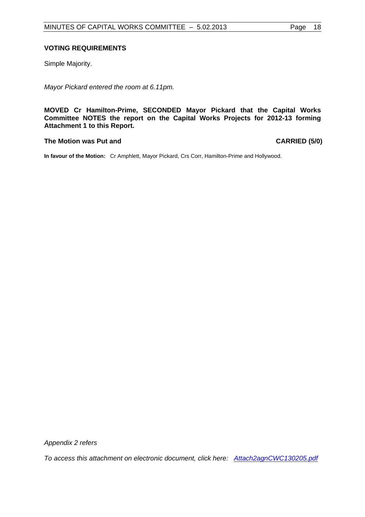# **VOTING REQUIREMENTS**

Simple Majority.

*Mayor Pickard entered the room at 6.11pm.* 

**MOVED Cr Hamilton-Prime, SECONDED Mayor Pickard that the Capital Works Committee NOTES the report on the Capital Works Projects for 2012-13 forming Attachment 1 to this Report.** 

# The Motion was Put and **CARRIED** (5/0)

**In favour of the Motion:** Cr Amphlett, Mayor Pickard, Crs Corr, Hamilton-Prime and Hollywood.

*Appendix 2 refers* 

*To access this attachment on electronic document, click her[e: Attach2agnCWC130205.pdf](Attach2agnCWC130205.pdf)*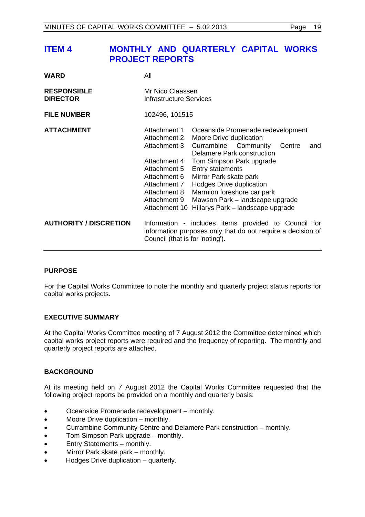<span id="page-18-0"></span>

| <b>WARD</b>                           | All                                                                                                                                                           |                                                                                                                                                                                                                                                                                                                                                        |
|---------------------------------------|---------------------------------------------------------------------------------------------------------------------------------------------------------------|--------------------------------------------------------------------------------------------------------------------------------------------------------------------------------------------------------------------------------------------------------------------------------------------------------------------------------------------------------|
| <b>RESPONSIBLE</b><br><b>DIRECTOR</b> | Mr Nico Claassen<br>Infrastructure Services                                                                                                                   |                                                                                                                                                                                                                                                                                                                                                        |
| <b>FILE NUMBER</b>                    | 102496, 101515                                                                                                                                                |                                                                                                                                                                                                                                                                                                                                                        |
| <b>ATTACHMENT</b>                     | Attachment 1<br>Attachment 2<br>Attachment 3<br>Attachment 4<br>Attachment 5<br>Attachment 6<br>Attachment 7<br>Attachment 8<br>Attachment 9<br>Attachment 10 | Oceanside Promenade redevelopment<br>Moore Drive duplication<br>Currambine Community<br>Centre<br>and<br>Delamere Park construction<br>Tom Simpson Park upgrade<br><b>Entry statements</b><br>Mirror Park skate park<br>Hodges Drive duplication<br>Marmion foreshore car park<br>Mawson Park - landscape upgrade<br>Hillarys Park - landscape upgrade |
| <b>AUTHORITY / DISCRETION</b>         | Council (that is for 'noting').                                                                                                                               | Information - includes items provided to Council for<br>information purposes only that do not require a decision of                                                                                                                                                                                                                                    |

# **PURPOSE**

For the Capital Works Committee to note the monthly and quarterly project status reports for capital works projects.

# **EXECUTIVE SUMMARY**

At the Capital Works Committee meeting of 7 August 2012 the Committee determined which capital works project reports were required and the frequency of reporting. The monthly and quarterly project reports are attached.

# **BACKGROUND**

At its meeting held on 7 August 2012 the Capital Works Committee requested that the following project reports be provided on a monthly and quarterly basis:

- Oceanside Promenade redevelopment monthly.
- Moore Drive duplication monthly.
- Currambine Community Centre and Delamere Park construction monthly.
- Tom Simpson Park upgrade monthly.
- Entry Statements monthly.
- Mirror Park skate park monthly.
- Hodges Drive duplication quarterly.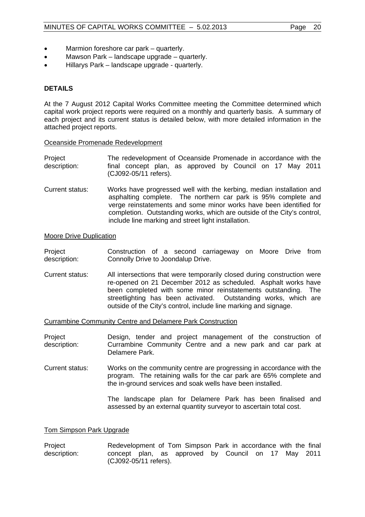- Marmion foreshore car park quarterly.
- Mawson Park landscape upgrade quarterly.
- Hillarys Park landscape upgrade quarterly.

# **DETAILS**

At the 7 August 2012 Capital Works Committee meeting the Committee determined which capital work project reports were required on a monthly and quarterly basis. A summary of each project and its current status is detailed below, with more detailed information in the attached project reports.

#### Oceanside Promenade Redevelopment

- Project description: The redevelopment of Oceanside Promenade in accordance with the final concept plan, as approved by Council on 17 May 2011 (CJ092-05/11 refers).
- Current status: Works have progressed well with the kerbing, median installation and asphalting complete. The northern car park is 95% complete and verge reinstatements and some minor works have been identified for completion. Outstanding works, which are outside of the City's control, include line marking and street light installation.

# Moore Drive Duplication

Project description: Construction of a second carriageway on Moore Drive from Connolly Drive to Joondalup Drive.

Current status: All intersections that were temporarily closed during construction were re-opened on 21 December 2012 as scheduled. Asphalt works have been completed with some minor reinstatements outstanding. The streetlighting has been activated. Outstanding works, which are outside of the City's control, include line marking and signage.

#### Currambine Community Centre and Delamere Park Construction

Project description: Design, tender and project management of the construction of Currambine Community Centre and a new park and car park at Delamere Park.

Current status: Works on the community centre are progressing in accordance with the program. The retaining walls for the car park are 65% complete and the in-ground services and soak wells have been installed.

> The landscape plan for Delamere Park has been finalised and assessed by an external quantity surveyor to ascertain total cost.

#### Tom Simpson Park Upgrade

Project description: Redevelopment of Tom Simpson Park in accordance with the final concept plan, as approved by Council on 17 May 2011 (CJ092-05/11 refers).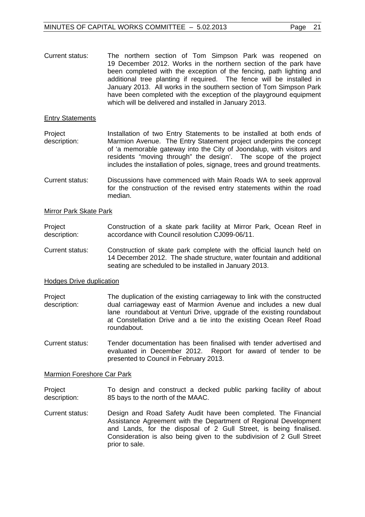Current status: The northern section of Tom Simpson Park was reopened on 19 December 2012. Works in the northern section of the park have been completed with the exception of the fencing, path lighting and additional tree planting if required. The fence will be installed in January 2013. All works in the southern section of Tom Simpson Park have been completed with the exception of the playground equipment which will be delivered and installed in January 2013.

#### Entry Statements

Project description: Installation of two Entry Statements to be installed at both ends of Marmion Avenue. The Entry Statement project underpins the concept of 'a memorable gateway into the City of Joondalup, with visitors and residents "moving through" the design'. The scope of the project includes the installation of poles, signage, trees and ground treatments.

Current status: Discussions have commenced with Main Roads WA to seek approval for the construction of the revised entry statements within the road median.

#### Mirror Park Skate Park

Project description: Construction of a skate park facility at Mirror Park, Ocean Reef in accordance with Council resolution CJ099-06/11.

Current status: Construction of skate park complete with the official launch held on 14 December 2012. The shade structure, water fountain and additional seating are scheduled to be installed in January 2013.

#### Hodges Drive duplication

- **Project** description: The duplication of the existing carriageway to link with the constructed dual carriageway east of Marmion Avenue and includes a new dual lane roundabout at Venturi Drive, upgrade of the existing roundabout at Constellation Drive and a tie into the existing Ocean Reef Road roundabout.
- Current status: Tender documentation has been finalised with tender advertised and evaluated in December 2012. Report for award of tender to be presented to Council in February 2013.

#### Marmion Foreshore Car Park

Project description: To design and construct a decked public parking facility of about 85 bays to the north of the MAAC.

Current status: Design and Road Safety Audit have been completed. The Financial Assistance Agreement with the Department of Regional Development and Lands, for the disposal of 2 Gull Street, is being finalised. Consideration is also being given to the subdivision of 2 Gull Street prior to sale.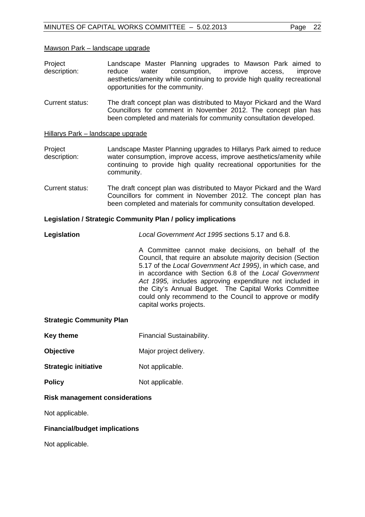#### Mawson Park – landscape upgrade

- Project description: Landscape Master Planning upgrades to Mawson Park aimed to reduce water consumption, improve access, improve aesthetics/amenity while continuing to provide high quality recreational opportunities for the community.
- Current status: The draft concept plan was distributed to Mayor Pickard and the Ward Councillors for comment in November 2012. The concept plan has been completed and materials for community consultation developed.

# Hillarys Park – landscape upgrade

- Project description: Landscape Master Planning upgrades to Hillarys Park aimed to reduce water consumption, improve access, improve aesthetics/amenity while continuing to provide high quality recreational opportunities for the community.
- Current status: The draft concept plan was distributed to Mayor Pickard and the Ward Councillors for comment in November 2012. The concept plan has been completed and materials for community consultation developed.

# **Legislation / Strategic Community Plan / policy implications**

**Legislation** *Local Government Act 1995 s*ections 5.17 and 6.8.

A Committee cannot make decisions, on behalf of the Council, that require an absolute majority decision (Section 5.17 of the *Local Government Act 1995)*, in which case, and in accordance with Section 6.8 of the *Local Government Act 1995,* includes approving expenditure not included in the City's Annual Budget. The Capital Works Committee could only recommend to the Council to approve or modify capital works projects.

#### **Strategic Community Plan**

- **Key theme Financial Sustainability.**
- **Objective**  Major project delivery.
- **Strategic initiative Mot applicable.**
- **Policy** Not applicable.

#### **Risk management considerations**

Not applicable.

#### **Financial/budget implications**

Not applicable.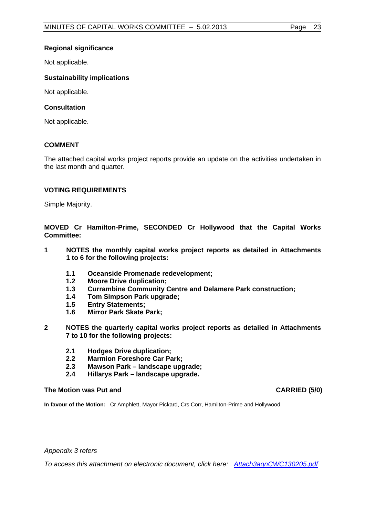# **Regional significance**

Not applicable.

# **Sustainability implications**

Not applicable.

# **Consultation**

Not applicable.

# **COMMENT**

The attached capital works project reports provide an update on the activities undertaken in the last month and quarter.

# **VOTING REQUIREMENTS**

Simple Majority.

**MOVED Cr Hamilton-Prime, SECONDED Cr Hollywood that the Capital Works Committee:** 

- **1 NOTES the monthly capital works project reports as detailed in Attachments 1 to 6 for the following projects:** 
	- **1.1 Oceanside Promenade redevelopment;**
	- **1.2 Moore Drive duplication;**
	- **1.3 Currambine Community Centre and Delamere Park construction;**
	- **1.4 Tom Simpson Park upgrade;**
	- **1.5 Entry Statements;**
	- **1.6 Mirror Park Skate Park;**
- **2 NOTES the quarterly capital works project reports as detailed in Attachments 7 to 10 for the following projects:** 
	- **2.1 Hodges Drive duplication;**
	- **2.2 Marmion Foreshore Car Park;**
	- **2.3 Mawson Park landscape upgrade;**
	- **2.4 Hillarys Park landscape upgrade.**

#### The Motion was Put and **CARRIED** (5/0)

**In favour of the Motion:** Cr Amphlett, Mayor Pickard, Crs Corr, Hamilton-Prime and Hollywood.

*Appendix 3 refers* 

*To access this attachment on electronic document, click here[: Attach3agnCWC130205.pdf](Attach3agnCWC130205.pdf)*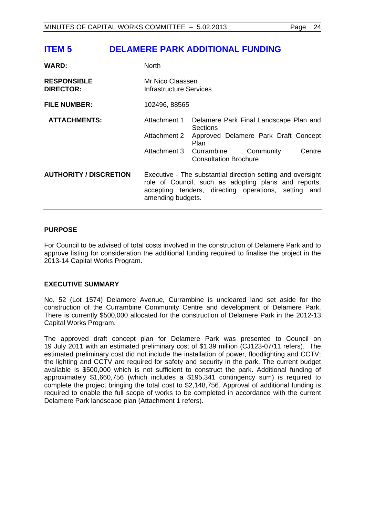# <span id="page-23-0"></span>**ITEM 5 DELAMERE PARK ADDITIONAL FUNDING**

| <b>WARD:</b>                           | <b>North</b>                                |                                                                                                                                                                             |
|----------------------------------------|---------------------------------------------|-----------------------------------------------------------------------------------------------------------------------------------------------------------------------------|
| <b>RESPONSIBLE</b><br><b>DIRECTOR:</b> | Mr Nico Claassen<br>Infrastructure Services |                                                                                                                                                                             |
| <b>FILE NUMBER:</b>                    | 102496, 88565                               |                                                                                                                                                                             |
| <b>ATTACHMENTS:</b>                    | Attachment 1                                | Delamere Park Final Landscape Plan and<br><b>Sections</b>                                                                                                                   |
|                                        | Attachment 2                                | Approved Delamere Park Draft Concept<br>Plan                                                                                                                                |
|                                        | Attachment 3 Currambine                     | Centre<br>Community<br><b>Consultation Brochure</b>                                                                                                                         |
| <b>AUTHORITY / DISCRETION</b>          | amending budgets.                           | Executive - The substantial direction setting and oversight<br>role of Council, such as adopting plans and reports,<br>accepting tenders, directing operations, setting and |

# **PURPOSE**

For Council to be advised of total costs involved in the construction of Delamere Park and to approve listing for consideration the additional funding required to finalise the project in the 2013-14 Capital Works Program.

#### **EXECUTIVE SUMMARY**

No. 52 (Lot 1574) Delamere Avenue, Currambine is uncleared land set aside for the construction of the Currambine Community Centre and development of Delamere Park. There is currently \$500,000 allocated for the construction of Delamere Park in the 2012-13 Capital Works Program.

The approved draft concept plan for Delamere Park was presented to Council on 19 July 2011 with an estimated preliminary cost of \$1.39 million (CJ123-07/11 refers). The estimated preliminary cost did not include the installation of power, floodlighting and CCTV; the lighting and CCTV are required for safety and security in the park. The current budget available is \$500,000 which is not sufficient to construct the park. Additional funding of approximately \$1,660,756 (which includes a \$195,341 contingency sum) is required to complete the project bringing the total cost to \$2,148,756. Approval of additional funding is required to enable the full scope of works to be completed in accordance with the current Delamere Park landscape plan (Attachment 1 refers).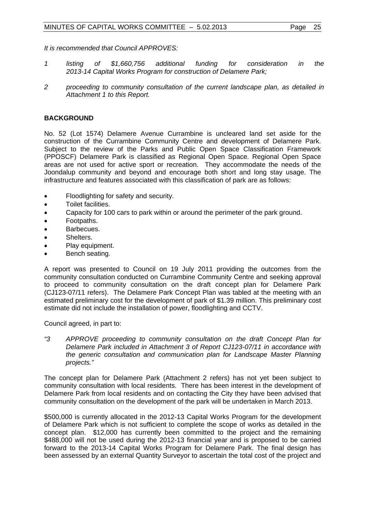*It is recommended that Council APPROVES:* 

- *1 listing of \$1,660,756 additional funding for consideration in the 2013-14 Capital Works Program for construction of Delamere Park;*
- *2 proceeding to community consultation of the current landscape plan, as detailed in Attachment 1 to this Report.*

# **BACKGROUND**

No. 52 (Lot 1574) Delamere Avenue Currambine is uncleared land set aside for the construction of the Currambine Community Centre and development of Delamere Park. Subject to the review of the Parks and Public Open Space Classification Framework (PPOSCF) Delamere Park is classified as Regional Open Space. Regional Open Space areas are not used for active sport or recreation. They accommodate the needs of the Joondalup community and beyond and encourage both short and long stay usage. The infrastructure and features associated with this classification of park are as follows:

- Floodlighting for safety and security.
- Toilet facilities.
- Capacity for 100 cars to park within or around the perimeter of the park ground.
- Footpaths.
- Barbecues.
- **Shelters**
- Play equipment.
- Bench seating.

A report was presented to Council on 19 July 2011 providing the outcomes from the community consultation conducted on Currambine Community Centre and seeking approval to proceed to community consultation on the draft concept plan for Delamere Park (CJ123-07/11 refers). The Delamere Park Concept Plan was tabled at the meeting with an estimated preliminary cost for the development of park of \$1.39 million. This preliminary cost estimate did not include the installation of power, floodlighting and CCTV.

Council agreed, in part to:

*"3 APPROVE proceeding to community consultation on the draft Concept Plan for Delamere Park included in Attachment 3 of Report CJ123-07/11 in accordance with the generic consultation and communication plan for Landscape Master Planning projects."* 

The concept plan for Delamere Park (Attachment 2 refers) has not yet been subject to community consultation with local residents. There has been interest in the development of Delamere Park from local residents and on contacting the City they have been advised that community consultation on the development of the park will be undertaken in March 2013.

\$500,000 is currently allocated in the 2012-13 Capital Works Program for the development of Delamere Park which is not sufficient to complete the scope of works as detailed in the concept plan. \$12,000 has currently been committed to the project and the remaining \$488,000 will not be used during the 2012-13 financial year and is proposed to be carried forward to the 2013-14 Capital Works Program for Delamere Park. The final design has been assessed by an external Quantity Surveyor to ascertain the total cost of the project and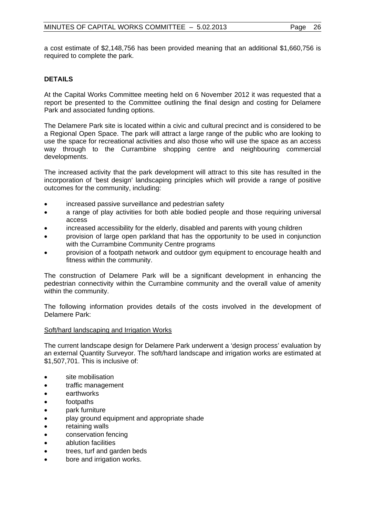a cost estimate of \$2,148,756 has been provided meaning that an additional \$1,660,756 is required to complete the park.

# **DETAILS**

At the Capital Works Committee meeting held on 6 November 2012 it was requested that a report be presented to the Committee outlining the final design and costing for Delamere Park and associated funding options.

The Delamere Park site is located within a civic and cultural precinct and is considered to be a Regional Open Space. The park will attract a large range of the public who are looking to use the space for recreational activities and also those who will use the space as an access way through to the Currambine shopping centre and neighbouring commercial developments.

The increased activity that the park development will attract to this site has resulted in the incorporation of 'best design' landscaping principles which will provide a range of positive outcomes for the community, including:

- increased passive surveillance and pedestrian safety
- a range of play activities for both able bodied people and those requiring universal access
- increased accessibility for the elderly, disabled and parents with young children
- provision of large open parkland that has the opportunity to be used in conjunction with the Currambine Community Centre programs
- provision of a footpath network and outdoor gym equipment to encourage health and fitness within the community.

The construction of Delamere Park will be a significant development in enhancing the pedestrian connectivity within the Currambine community and the overall value of amenity within the community.

The following information provides details of the costs involved in the development of Delamere Park:

#### Soft/hard landscaping and Irrigation Works

The current landscape design for Delamere Park underwent a 'design process' evaluation by an external Quantity Surveyor. The soft/hard landscape and irrigation works are estimated at \$1,507,701. This is inclusive of:

- site mobilisation
- traffic management
- earthworks
- footpaths
- park furniture
- play ground equipment and appropriate shade
- retaining walls
- conservation fencing
- ablution facilities
- trees, turf and garden beds
- bore and irrigation works.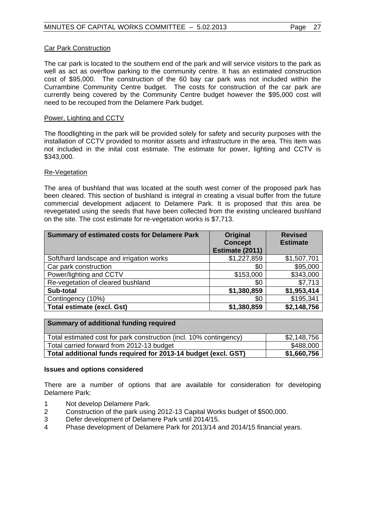# Car Park Construction

The car park is located to the southern end of the park and will service visitors to the park as well as act as overflow parking to the community centre. It has an estimated construction cost of \$95,000. The construction of the 60 bay car park was not included within the Currambine Community Centre budget. The costs for construction of the car park are currently being covered by the Community Centre budget however the \$95,000 cost will need to be recouped from the Delamere Park budget.

# Power, Lighting and CCTV

The floodlighting in the park will be provided solely for safety and security purposes with the installation of CCTV provided to monitor assets and infrastructure in the area. This item was not included in the inital cost estimate. The estimate for power, lighting and CCTV is \$343,000.

# Re-Vegetation

The area of bushland that was located at the south west corner of the proposed park has been cleared. This section of bushland is integral in creating a visual buffer from the future commercial development adjacent to Delamere Park. It is proposed that this area be revegetated using the seeds that have been collected from the existing uncleared bushland on the site. The cost estimate for re-vegetation works is \$7,713.

| <b>Summary of estimated costs for Delamere Park</b> | Original<br><b>Concept</b><br>Estimate (2011) | <b>Revised</b><br><b>Estimate</b> |
|-----------------------------------------------------|-----------------------------------------------|-----------------------------------|
| Soft/hard landscape and irrigation works            | \$1,227,859                                   | \$1,507,701                       |
| Car park construction                               | \$0                                           | \$95,000                          |
| Power/lighting and CCTV                             | \$153,000                                     | \$343,000                         |
| Re-vegetation of cleared bushland                   | \$0                                           | \$7,713                           |
| Sub-total                                           | \$1,380,859                                   | \$1,953,414                       |
| Contingency (10%)                                   | \$0                                           | \$195,341                         |
| <b>Total estimate (excl. Gst)</b>                   | \$1,380,859                                   | \$2,148,756                       |

| <b>Summary of additional funding required</b>                      |             |
|--------------------------------------------------------------------|-------------|
| Total estimated cost for park construction (incl. 10% contingency) | \$2,148,756 |
| Total carried forward from 2012-13 budget                          | \$488,000   |
| Total additional funds required for 2013-14 budget (excl. GST)     | \$1,660,756 |

#### **Issues and options considered**

There are a number of options that are available for consideration for developing Delamere Park:

- 1 Not develop Delamere Park.
- 2 Construction of the park using 2012-13 Capital Works budget of \$500,000.
- 3 Defer development of Delamere Park until 2014/15.
- 4 Phase development of Delamere Park for 2013/14 and 2014/15 financial years.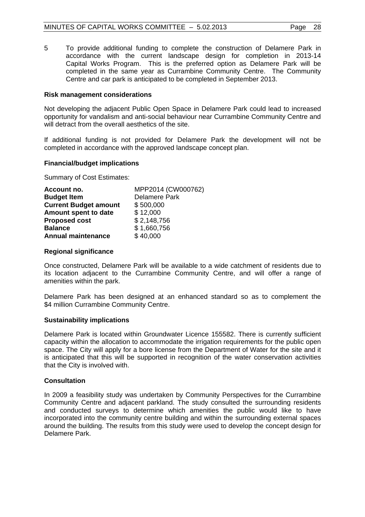5 To provide additional funding to complete the construction of Delamere Park in accordance with the current landscape design for completion in 2013-14 Capital Works Program. This is the preferred option as Delamere Park will be completed in the same year as Currambine Community Centre. The Community Centre and car park is anticipated to be completed in September 2013.

# **Risk management considerations**

Not developing the adjacent Public Open Space in Delamere Park could lead to increased opportunity for vandalism and anti-social behaviour near Currambine Community Centre and will detract from the overall aesthetics of the site.

If additional funding is not provided for Delamere Park the development will not be completed in accordance with the approved landscape concept plan.

# **Financial/budget implications**

Summary of Cost Estimates:

| Account no.                  | MPP2014 (CW000762)   |
|------------------------------|----------------------|
| <b>Budget Item</b>           | <b>Delamere Park</b> |
| <b>Current Budget amount</b> | \$500,000            |
| Amount spent to date         | \$12,000             |
| <b>Proposed cost</b>         | \$2,148,756          |
| <b>Balance</b>               | \$1,660,756          |
| <b>Annual maintenance</b>    | \$40,000             |

# **Regional significance**

Once constructed, Delamere Park will be available to a wide catchment of residents due to its location adjacent to the Currambine Community Centre, and will offer a range of amenities within the park.

Delamere Park has been designed at an enhanced standard so as to complement the \$4 million Currambine Community Centre.

# **Sustainability implications**

Delamere Park is located within Groundwater Licence 155582. There is currently sufficient capacity within the allocation to accommodate the irrigation requirements for the public open space. The City will apply for a bore license from the Department of Water for the site and it is anticipated that this will be supported in recognition of the water conservation activities that the City is involved with.

# **Consultation**

In 2009 a feasibility study was undertaken by Community Perspectives for the Currambine Community Centre and adjacent parkland. The study consulted the surrounding residents and conducted surveys to determine which amenities the public would like to have incorporated into the community centre building and within the surrounding external spaces around the building. The results from this study were used to develop the concept design for Delamere Park.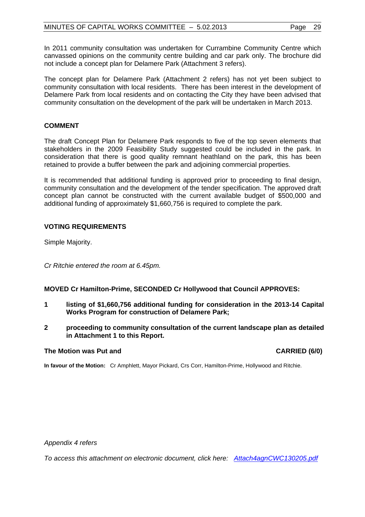In 2011 community consultation was undertaken for Currambine Community Centre which canvassed opinions on the community centre building and car park only. The brochure did not include a concept plan for Delamere Park (Attachment 3 refers).

The concept plan for Delamere Park (Attachment 2 refers) has not yet been subject to community consultation with local residents. There has been interest in the development of Delamere Park from local residents and on contacting the City they have been advised that community consultation on the development of the park will be undertaken in March 2013.

# **COMMENT**

The draft Concept Plan for Delamere Park responds to five of the top seven elements that stakeholders in the 2009 Feasibility Study suggested could be included in the park. In consideration that there is good quality remnant heathland on the park, this has been retained to provide a buffer between the park and adjoining commercial properties.

It is recommended that additional funding is approved prior to proceeding to final design, community consultation and the development of the tender specification. The approved draft concept plan cannot be constructed with the current available budget of \$500,000 and additional funding of approximately \$1,660,756 is required to complete the park.

# **VOTING REQUIREMENTS**

Simple Majority.

*Cr Ritchie entered the room at 6.45pm.* 

# **MOVED Cr Hamilton-Prime, SECONDED Cr Hollywood that Council APPROVES:**

- **1 listing of \$1,660,756 additional funding for consideration in the 2013-14 Capital Works Program for construction of Delamere Park;**
- **2 proceeding to community consultation of the current landscape plan as detailed in Attachment 1 to this Report.**

#### **The Motion was Put and CARRIED (6/0) CARRIED (6/0)**

**In favour of the Motion:** Cr Amphlett, Mayor Pickard, Crs Corr, Hamilton-Prime, Hollywood and Ritchie.

*Appendix 4 refers* 

*To access this attachment on electronic document, click her[e: Attach4agnCWC130205.pdf](Attach4agnCWC130205.pdf)*